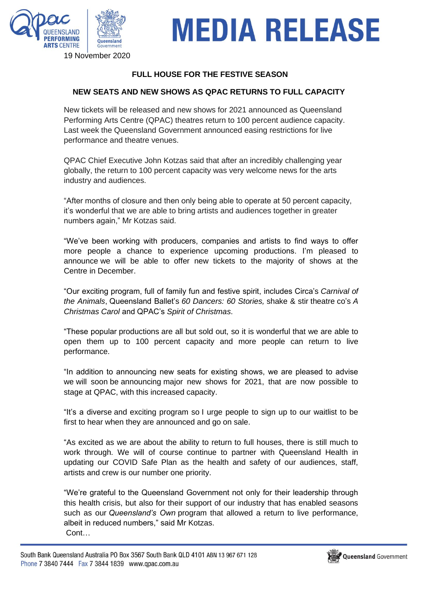

# **MEDIA RELEASE**

### 19 November 2020

### **FULL HOUSE FOR THE FESTIVE SEASON**

### **NEW SEATS AND NEW SHOWS AS QPAC RETURNS TO FULL CAPACITY**

New tickets will be released and new shows for 2021 announced as Queensland Performing Arts Centre (QPAC) theatres return to 100 percent audience capacity. Last week the Queensland Government announced easing restrictions for live performance and theatre venues.

QPAC Chief Executive John Kotzas said that after an incredibly challenging year globally, the return to 100 percent capacity was very welcome news for the arts industry and audiences.

"After months of closure and then only being able to operate at 50 percent capacity, it's wonderful that we are able to bring artists and audiences together in greater numbers again," Mr Kotzas said.

"We've been working with producers, companies and artists to find ways to offer more people a chance to experience upcoming productions. I'm pleased to announce we will be able to offer new tickets to the majority of shows at the Centre in December.

"Our exciting program, full of family fun and festive spirit, includes Circa's *Carnival of the Animals*, Queensland Ballet's *60 Dancers: 60 Stories,* shake & stir theatre co's *A Christmas Carol* and QPAC's *Spirit of Christmas*.

"These popular productions are all but sold out, so it is wonderful that we are able to open them up to 100 percent capacity and more people can return to live performance.

"In addition to announcing new seats for existing shows, we are pleased to advise we will soon be announcing major new shows for 2021, that are now possible to stage at QPAC, with this increased capacity.

"It's a diverse and exciting program so I urge people to sign up to our waitlist to be first to hear when they are announced and go on sale.

"As excited as we are about the ability to return to full houses, there is still much to work through. We will of course continue to partner with Queensland Health in updating our COVID Safe Plan as the health and safety of our audiences, staff, artists and crew is our number one priority.

"We're grateful to the Queensland Government not only for their leadership through this health crisis, but also for their support of our industry that has enabled seasons such as our *Queensland's Own* program that allowed a return to live performance, albeit in reduced numbers," said Mr Kotzas. Cont…

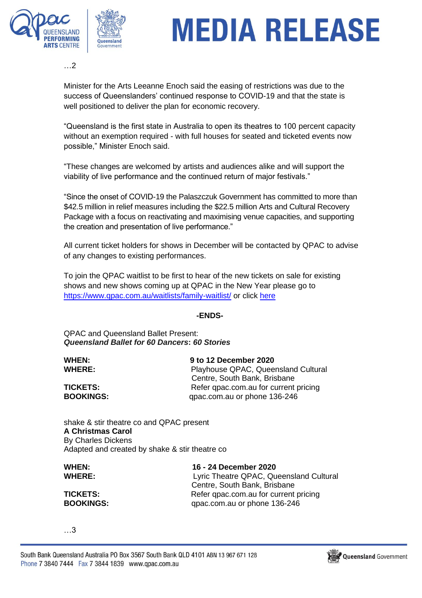

# **MEDIA RELEASE**

…2

Minister for the Arts Leeanne Enoch said the easing of restrictions was due to the success of Queenslanders' continued response to COVID-19 and that the state is well positioned to deliver the plan for economic recovery.

"Queensland is the first state in Australia to open its theatres to 100 percent capacity without an exemption required - with full houses for seated and ticketed events now possible," Minister Enoch said.

"These changes are welcomed by artists and audiences alike and will support the viability of live performance and the continued return of major festivals."

"Since the onset of COVID-19 the Palaszczuk Government has committed to more than \$42.5 million in relief measures including the \$22.5 million Arts and Cultural Recovery Package with a focus on reactivating and maximising venue capacities, and supporting the creation and presentation of live performance."

All current ticket holders for shows in December will be contacted by QPAC to advise of any changes to existing performances.

To join the QPAC waitlist to be first to hear of the new tickets on sale for existing shows and new shows coming up at QPAC in the New Year please go to <https://www.qpac.com.au/waitlists/family-waitlist/> or click [here](https://www.qpac.com.au/waitlists/family-waitlist/)

#### **-ENDS-**

#### QPAC and Queensland Ballet Present: *Queensland Ballet for 60 Dancers***:** *60 Stories*

**WHEN: 9 to 12 December 2020 WHERE:** Playhouse QPAC, Queensland Cultural Centre, South Bank, Brisbane **TICKETS:** Refer qpac.com.au for current pricing **BOOKINGS:** qpac.com.au or phone 136-246

shake & stir theatre co and QPAC present **A Christmas Carol** By Charles Dickens Adapted and created by shake & stir theatre co

**WHEN: 16 - 24 December 2020 WHERE:** Lyric Theatre QPAC, Queensland Cultural Centre, South Bank, Brisbane **TICKETS:** Refer qpac.com.au for current pricing **BOOKINGS:** qpac.com.au or phone 136-246

…3